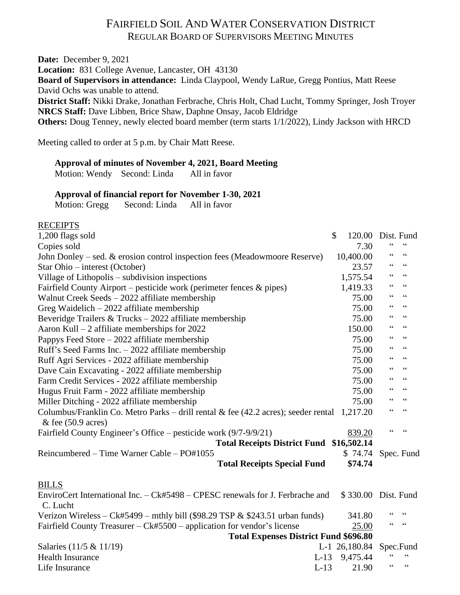# FAIRFIELD SOIL AND WATER CONSERVATION DISTRICT REGULAR BOARD OF SUPERVISORS MEETING MINUTES

**Date:** December 9, 2021 **Location:** 831 College Avenue, Lancaster, OH 43130 **Board of Supervisors in attendance:** Linda Claypool, Wendy LaRue, Gregg Pontius, Matt Reese David Ochs was unable to attend. **District Staff:** Nikki Drake, Jonathan Ferbrache, Chris Holt, Chad Lucht, Tommy Springer, Josh Troyer **NRCS Staff:** Dave Libben, Brice Shaw, Daphne Onsay, Jacob Eldridge **Others:** Doug Tenney, newly elected board member (term starts 1/1/2022), Lindy Jackson with HRCD

Meeting called to order at 5 p.m. by Chair Matt Reese.

#### **Approval of minutes of November 4, 2021, Board Meeting**

Motion: Wendy Second: Linda All in favor

#### **Approval of financial report for November 1-30, 2021**

Motion: Gregg Second: Linda All in favor

#### **RECEIPTS**

| 1,200 flags sold                                                                              | \$ | 120.00              | Dist. Fund                                 |                          |  |
|-----------------------------------------------------------------------------------------------|----|---------------------|--------------------------------------------|--------------------------|--|
| Copies sold                                                                                   |    | 7.30                | 66                                         |                          |  |
| John Donley – sed. $&$ erosion control inspection fees (Meadowmoore Reserve)                  |    | 10,400.00           | 66                                         | $\zeta\,\zeta$           |  |
| Star Ohio - interest (October)                                                                |    | 23.57               | 66                                         | $\zeta\,\zeta$           |  |
| Village of Lithopolis – subdivision inspections                                               |    | 1,575.54            | 66                                         | 66                       |  |
| Fairfield County Airport – pesticide work (perimeter fences $\&$ pipes)                       |    | 1,419.33            | 66                                         | 66                       |  |
| Walnut Creek Seeds – 2022 affiliate membership                                                |    | 75.00               | $\zeta$ $\zeta$                            | $\zeta\,\zeta$           |  |
| Greg Waidelich $-2022$ affiliate membership                                                   |    | 75.00               | $\zeta$ $\zeta$                            | $\textsf{G}\,\textsf{G}$ |  |
| Beveridge Trailers & Trucks $-2022$ affiliate membership                                      |    | 75.00               | 66                                         | $\zeta\,\zeta$           |  |
| Aaron Kull $-2$ affiliate memberships for 2022                                                |    | 150.00              | 66                                         | $\zeta\,\zeta$           |  |
| Pappys Feed Store $-2022$ affiliate membership                                                |    | 75.00               | 66                                         | $\zeta\,\zeta$           |  |
| Ruff's Seed Farms Inc. $-2022$ affiliate membership                                           |    | 75.00               | 66                                         | 66                       |  |
| Ruff Agri Services - 2022 affiliate membership                                                |    | 75.00               | 66                                         | 66                       |  |
| Dave Cain Excavating - 2022 affiliate membership                                              |    | 75.00               | $\!\!\!\zeta\,\zeta\!\!\!\zeta\!\!\!\zeta$ | $\zeta\,\zeta$           |  |
| Farm Credit Services - 2022 affiliate membership                                              |    | 75.00               | $\zeta$ $\zeta$                            | $\zeta\,\zeta$           |  |
| Hugus Fruit Farm - 2022 affiliate membership                                                  |    | 75.00               | $\zeta$ $\zeta$                            | 66                       |  |
| Miller Ditching - 2022 affiliate membership                                                   |    | 75.00               | $\zeta$ $\zeta$                            | $\zeta\,\zeta$           |  |
| Columbus/Franklin Co. Metro Parks – drill rental & fee $(42.2 \text{ acres})$ ; seeder rental |    | 1,217.20            | 66                                         | $\zeta\,\zeta$           |  |
| $&$ fee (50.9 acres)                                                                          |    |                     |                                            |                          |  |
| Fairfield County Engineer's Office – pesticide work (9/7-9/9/21)                              |    | 839.20              | $\epsilon$                                 | $\epsilon$               |  |
| Total Receipts District Fund \$16,502.14                                                      |    |                     |                                            |                          |  |
| Reincumbered – Time Warner Cable – PO#1055                                                    |    | \$74.74             |                                            | Spec. Fund               |  |
| <b>Total Receipts Special Fund</b>                                                            |    | \$74.74             |                                            |                          |  |
| <b>BILLS</b>                                                                                  |    |                     |                                            |                          |  |
| EnviroCert International Inc. - Ck#5498 - CPESC renewals for J. Ferbrache and<br>C. Lucht     |    | \$330.00 Dist. Fund |                                            |                          |  |
| Verizon Wireless – Ck#5499 – mthly bill (\$98.29 TSP $&$ \$243.51 urban funds)                |    | 341.80              | 66                                         | $\zeta \zeta$            |  |
| Fairfield County Treasurer – Ck#5500 – application for vendor's license                       |    | 25.00               | 66                                         | 66                       |  |
| <b>Total Expenses District Fund \$696.80</b>                                                  |    |                     |                                            |                          |  |
| Salaries (11/5 & 11/19)                                                                       |    | L-1 26,180.84       | Spec.Fund                                  |                          |  |
| <b>Health Insurance</b><br>$L-13$                                                             |    | 9,475.44            |                                            | $\zeta\,\zeta$           |  |
| $L-13$<br>Life Insurance                                                                      |    | 21.90               | $\zeta$ $\zeta$                            | $\zeta \zeta$            |  |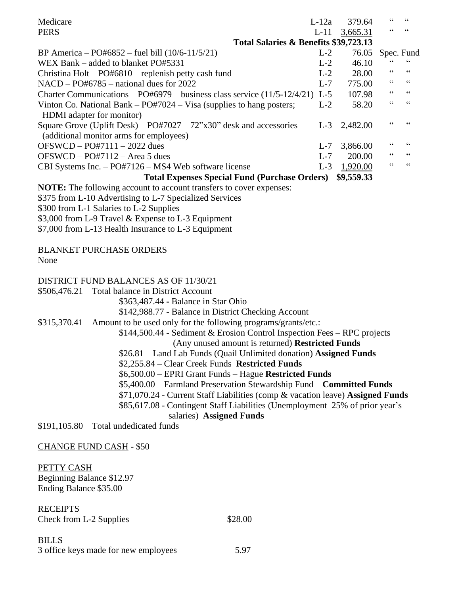| Medicare                                                                     | $L-12a$ | 379.64           | 66 | 66                       |  |  |
|------------------------------------------------------------------------------|---------|------------------|----|--------------------------|--|--|
| <b>PERS</b>                                                                  | $L-11$  | 3,665.31         |    |                          |  |  |
| Total Salaries & Benefits \$39,723.13                                        |         |                  |    |                          |  |  |
| BP America – PO#6852 – fuel bill $(10/6-11/5/21)$                            | $L-2$   | 76.05 Spec. Fund |    |                          |  |  |
| WEX Bank – added to blanket PO#5331                                          | $L-2$   | 46.10            | 66 | 66                       |  |  |
| Christina Holt – $PO#6810$ – replenish petty cash fund                       | $L-2$   | 28.00            | 66 | 66                       |  |  |
| $NACD - PO#6785 -$ national dues for 2022                                    | $L-7$   | 775.00           | 66 | $\textsf{G}\,\textsf{G}$ |  |  |
| Charter Communications - PO#6979 - business class service (11/5-12/4/21) L-5 |         | 107.98           | 66 | 66                       |  |  |
| Vinton Co. National Bank $-$ PO#7024 $-$ Visa (supplies to hang posters;     | $L-2$   | 58.20            | 66 | 66                       |  |  |
| HDMI adapter for monitor)                                                    |         |                  |    |                          |  |  |
| Square Grove (Uplift Desk) – $PQ#7027 - 72$ "x30" desk and accessories       | $L-3$   | 2,482.00         |    |                          |  |  |
| (additional monitor arms for employees)                                      |         |                  |    |                          |  |  |
| $OFSWCD - PO#7111 - 2022$ dues                                               | $L-7$   | 3,866.00         | 66 | 66                       |  |  |
| $OFSWCD - PO#7112 - Area 5$ dues                                             | $L - 7$ | 200.00           | 66 | 66                       |  |  |
| CBI Systems Inc. $-$ PO#7126 $-$ MS4 Web software license                    | $L-3$   | 1,920.00         | 66 | $\zeta\,\zeta$           |  |  |
| \$9,559.33<br><b>Total Expenses Special Fund (Purchase Orders)</b>           |         |                  |    |                          |  |  |

**NOTE:** The following account to account transfers to cover expenses:

\$375 from L-10 Advertising to L-7 Specialized Services

\$300 from L-1 Salaries to L-2 Supplies

\$3,000 from L-9 Travel & Expense to L-3 Equipment

\$7,000 from L-13 Health Insurance to L-3 Equipment

BLANKET PURCHASE ORDERS

None

#### DISTRICT FUND BALANCES AS OF 11/30/21

\$506,476.21 Total balance in District Account

\$363,487.44 **-** Balance in Star Ohio

\$142,988.77 - Balance in District Checking Account

\$315,370.41 Amount to be used only for the following programs/grants/etc.:

\$144,500.44 - Sediment & Erosion Control Inspection Fees – RPC projects (Any unused amount is returned) **Restricted Funds**

\$26.81 – Land Lab Funds (Quail Unlimited donation) **Assigned Funds**

\$2,255.84 – Clear Creek Funds **Restricted Funds**

\$6,500.00 – EPRI Grant Funds – Hague **Restricted Funds**

\$5,400.00 – Farmland Preservation Stewardship Fund – **Committed Funds**

\$71,070.24 - Current Staff Liabilities (comp & vacation leave) **Assigned Funds**

\$85,617.08 - Contingent Staff Liabilities (Unemployment–25% of prior year's

salaries) **Assigned Funds**

\$191,105.80 Total undedicated funds

CHANGE FUND CASH - \$50

#### PETTY CASH

Beginning Balance \$12.97 Ending Balance \$35.00

RECEIPTS Check from L-2 Supplies \$28.00

BILLS 3 office keys made for new employees 5.97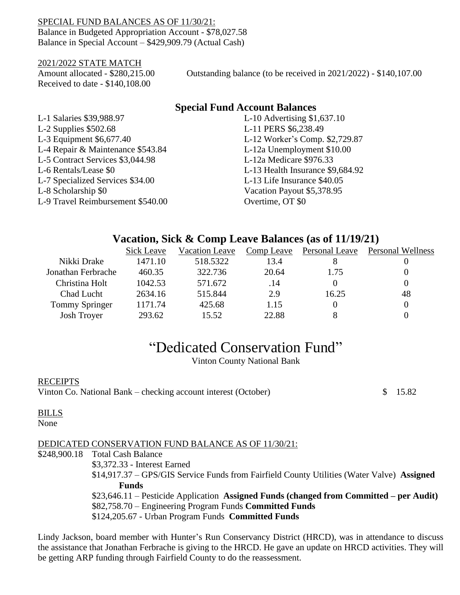#### SPECIAL FUND BALANCES AS OF 11/30/21: Balance in Budgeted Appropriation Account - \$78,027.58 Balance in Special Account – \$429,909.79 (Actual Cash)

#### 2021/2022 STATE MATCH

Received to date - \$140,108.00

Amount allocated - \$280,215.00 Outstanding balance (to be received in 2021/2022) - \$140,107.00

# **Special Fund Account Balances**

L-1 Salaries \$39,988.97 L-10 Advertising \$1,637.10 L-2 Supplies \$502.68 L-11 PERS \$6,238.49 L-3 Equipment \$6,677.40 L-12 Worker's Comp. \$2,729.87 L-4 Repair & Maintenance \$543.84 L-12a Unemployment \$10.00 L-5 Contract Services \$3,044.98 L-12a Medicare \$976.33 L-6 Rentals/Lease \$0 L-13 Health Insurance \$9,684.92 L-7 Specialized Services \$34.00 L-13 Life Insurance \$40.05 L-8 Scholarship \$0 Vacation Payout \$5,378.95 L-9 Travel Reimbursement \$540.00 Overtime, OT \$0

# **Vacation, Sick & Comp Leave Balances (as of 11/19/21)**

|                    | Sick Leave | <b>Vacation Leave</b> | Comp Leave | Personal Leave | <b>Personal Wellness</b> |
|--------------------|------------|-----------------------|------------|----------------|--------------------------|
| Nikki Drake        | 1471.10    | 518.5322              | 13.4       |                |                          |
| Jonathan Ferbrache | 460.35     | 322.736               | 20.64      | 1.75           |                          |
| Christina Holt     | 1042.53    | 571.672               | .14        |                |                          |
| Chad Lucht         | 2634.16    | 515.844               | 2.9        | 16.25          | 48                       |
| Tommy Springer     | 1171.74    | 425.68                | 1.15       |                |                          |
| <b>Josh Troyer</b> | 293.62     | 15.52                 | 22.88      |                |                          |
|                    |            |                       |            |                |                          |

# "Dedicated Conservation Fund"

Vinton County National Bank

#### RECEIPTS

Vinton Co. National Bank – checking account interest (October)  $\qquad$  \$ 15.82

#### BILLS

None

#### DEDICATED CONSERVATION FUND BALANCE AS OF 11/30/21:

\$248,900.18 Total Cash Balance

\$3,372.33 - Interest Earned

\$14,917.37 – GPS/GIS Service Funds from Fairfield County Utilities (Water Valve) **Assigned Funds**

\$23,646.11 – Pesticide Application **Assigned Funds (changed from Committed – per Audit)** \$82,758.70 – Engineering Program Funds **Committed Funds** \$124,205.67 - Urban Program Funds **Committed Funds**

Lindy Jackson, board member with Hunter's Run Conservancy District (HRCD), was in attendance to discuss the assistance that Jonathan Ferbrache is giving to the HRCD. He gave an update on HRCD activities. They will be getting ARP funding through Fairfield County to do the reassessment.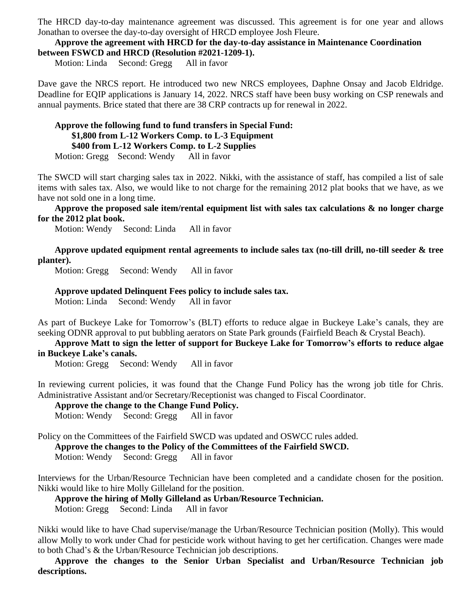The HRCD day-to-day maintenance agreement was discussed. This agreement is for one year and allows Jonathan to oversee the day-to-day oversight of HRCD employee Josh Fleure.

#### **Approve the agreement with HRCD for the day-to-day assistance in Maintenance Coordination between FSWCD and HRCD (Resolution #2021-1209-1).**

Motion: Linda Second: Gregg All in favor

Dave gave the NRCS report. He introduced two new NRCS employees, Daphne Onsay and Jacob Eldridge. Deadline for EQIP applications is January 14, 2022. NRCS staff have been busy working on CSP renewals and annual payments. Brice stated that there are 38 CRP contracts up for renewal in 2022.

#### **Approve the following fund to fund transfers in Special Fund: \$1,800 from L-12 Workers Comp. to L-3 Equipment \$400 from L-12 Workers Comp. to L-2 Supplies** Motion: Gregg Second: Wendy All in favor

The SWCD will start charging sales tax in 2022. Nikki, with the assistance of staff, has compiled a list of sale items with sales tax. Also, we would like to not charge for the remaining 2012 plat books that we have, as we have not sold one in a long time.

#### **Approve the proposed sale item/rental equipment list with sales tax calculations & no longer charge for the 2012 plat book.**

Motion: Wendy Second: Linda All in favor

**Approve updated equipment rental agreements to include sales tax (no-till drill, no-till seeder & tree planter).**

Motion: Gregg Second: Wendy All in favor

#### **Approve updated Delinquent Fees policy to include sales tax.**

Motion: Linda Second: Wendy All in favor

As part of Buckeye Lake for Tomorrow's (BLT) efforts to reduce algae in Buckeye Lake's canals, they are seeking ODNR approval to put bubbling aerators on State Park grounds (Fairfield Beach & Crystal Beach).

#### **Approve Matt to sign the letter of support for Buckeye Lake for Tomorrow's efforts to reduce algae in Buckeye Lake's canals.**

Motion: Gregg Second: Wendy All in favor

In reviewing current policies, it was found that the Change Fund Policy has the wrong job title for Chris. Administrative Assistant and/or Secretary/Receptionist was changed to Fiscal Coordinator.

**Approve the change to the Change Fund Policy.**

Motion: Wendy Second: Gregg All in favor

Policy on the Committees of the Fairfield SWCD was updated and OSWCC rules added.

**Approve the changes to the Policy of the Committees of the Fairfield SWCD.**

Motion: Wendy Second: Gregg All in favor

Interviews for the Urban/Resource Technician have been completed and a candidate chosen for the position. Nikki would like to hire Molly Gilleland for the position.

**Approve the hiring of Molly Gilleland as Urban/Resource Technician.**

Motion: Gregg Second: Linda All in favor

Nikki would like to have Chad supervise/manage the Urban/Resource Technician position (Molly). This would allow Molly to work under Chad for pesticide work without having to get her certification. Changes were made to both Chad's & the Urban/Resource Technician job descriptions.

**Approve the changes to the Senior Urban Specialist and Urban/Resource Technician job descriptions.**